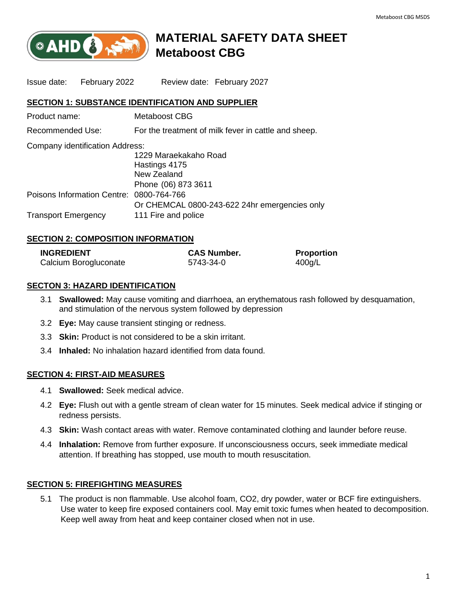

# **MATERIAL SAFETY DATA SHEET Metaboost CBG**

Issue date: February 2022 Review date: February 2027

## **SECTION 1: SUBSTANCE IDENTIFICATION AND SUPPLIER**

| Product name:    | Metaboost CBG                                        |
|------------------|------------------------------------------------------|
| Recommended Use: | For the treatment of milk fever in cattle and sheep. |

| Company identification Address:               |
|-----------------------------------------------|
| 1229 Maraekakaho Road                         |
| Hastings 4175                                 |
| New Zealand                                   |
| Phone (06) 873 3611                           |
| Poisons Information Centre: 0800-764-766      |
| Or CHEMCAL 0800-243-622 24hr emergencies only |
| 111 Fire and police                           |
|                                               |

# **SECTION 2: COMPOSITION INFORMATION**

| <b>INGREDIENT</b>     | <b>CAS Number.</b> | <b>Proportion</b> |
|-----------------------|--------------------|-------------------|
| Calcium Borogluconate | 5743-34-0          | 400g/L            |

# **SECTON 3: HAZARD IDENTIFICATION**

- 3.1 **Swallowed:** May cause vomiting and diarrhoea, an erythematous rash followed by desquamation, and stimulation of the nervous system followed by depression
- 3.2 **Eye:** May cause transient stinging or redness.
- 3.3 **Skin:** Product is not considered to be a skin irritant.
- 3.4 **Inhaled:** No inhalation hazard identified from data found.

# **SECTION 4: FIRST-AID MEASURES**

- 4.1 **Swallowed:** Seek medical advice.
- 4.2 **Eye:** Flush out with a gentle stream of clean water for 15 minutes. Seek medical advice if stinging or redness persists.
- 4.3 **Skin:** Wash contact areas with water. Remove contaminated clothing and launder before reuse.
- 4.4 **Inhalation:** Remove from further exposure. If unconsciousness occurs, seek immediate medical attention. If breathing has stopped, use mouth to mouth resuscitation.

# **SECTION 5: FIREFIGHTING MEASURES**

5.1 The product is non flammable. Use alcohol foam, CO2, dry powder, water or BCF fire extinguishers. Use water to keep fire exposed containers cool. May emit toxic fumes when heated to decomposition. Keep well away from heat and keep container closed when not in use.